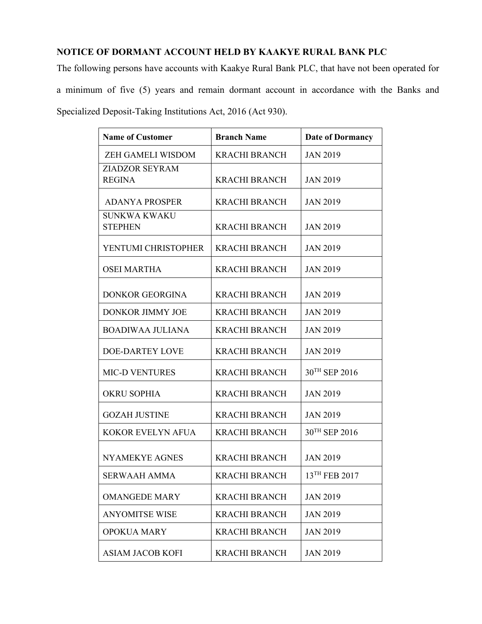## **NOTICE OF DORMANT ACCOUNT HELD BY KAAKYE RURAL BANK PLC**

The following persons have accounts with Kaakye Rural Bank PLC, that have not been operated for a minimum of five (5) years and remain dormant account in accordance with the Banks and Specialized Deposit-Taking Institutions Act, 2016 (Act 930).

| <b>Name of Customer</b>  | <b>Branch Name</b>   | <b>Date of Dormancy</b> |
|--------------------------|----------------------|-------------------------|
| <b>ZEH GAMELI WISDOM</b> | <b>KRACHI BRANCH</b> | <b>JAN 2019</b>         |
| ZIADZOR SEYRAM           |                      |                         |
| <b>REGINA</b>            | <b>KRACHI BRANCH</b> | <b>JAN 2019</b>         |
| <b>ADANYA PROSPER</b>    | <b>KRACHI BRANCH</b> | <b>JAN 2019</b>         |
| <b>SUNKWA KWAKU</b>      |                      |                         |
| <b>STEPHEN</b>           | <b>KRACHI BRANCH</b> | <b>JAN 2019</b>         |
| YENTUMI CHRISTOPHER      | <b>KRACHI BRANCH</b> | <b>JAN 2019</b>         |
| <b>OSEI MARTHA</b>       | <b>KRACHI BRANCH</b> | <b>JAN 2019</b>         |
| <b>DONKOR GEORGINA</b>   | <b>KRACHI BRANCH</b> | <b>JAN 2019</b>         |
|                          |                      |                         |
| DONKOR JIMMY JOE         | <b>KRACHI BRANCH</b> | <b>JAN 2019</b>         |
| <b>BOADIWAA JULIANA</b>  | <b>KRACHI BRANCH</b> | <b>JAN 2019</b>         |
| <b>DOE-DARTEY LOVE</b>   | <b>KRACHI BRANCH</b> | <b>JAN 2019</b>         |
| <b>MIC-D VENTURES</b>    | <b>KRACHI BRANCH</b> | 30TH SEP 2016           |
| <b>OKRU SOPHIA</b>       | <b>KRACHI BRANCH</b> | <b>JAN 2019</b>         |
| <b>GOZAH JUSTINE</b>     | <b>KRACHI BRANCH</b> | <b>JAN 2019</b>         |
| <b>KOKOR EVELYN AFUA</b> | <b>KRACHI BRANCH</b> | 30TH SEP 2016           |
|                          |                      |                         |
| NYAMEKYE AGNES           | <b>KRACHI BRANCH</b> | <b>JAN 2019</b>         |
| SERWAAH AMMA             | <b>KRACHI BRANCH</b> | 13TH FEB 2017           |
| <b>OMANGEDE MARY</b>     | <b>KRACHI BRANCH</b> | <b>JAN 2019</b>         |
| <b>ANYOMITSE WISE</b>    | <b>KRACHI BRANCH</b> | <b>JAN 2019</b>         |
| <b>OPOKUA MARY</b>       | <b>KRACHI BRANCH</b> | <b>JAN 2019</b>         |
| <b>ASIAM JACOB KOFI</b>  | <b>KRACHI BRANCH</b> | <b>JAN 2019</b>         |